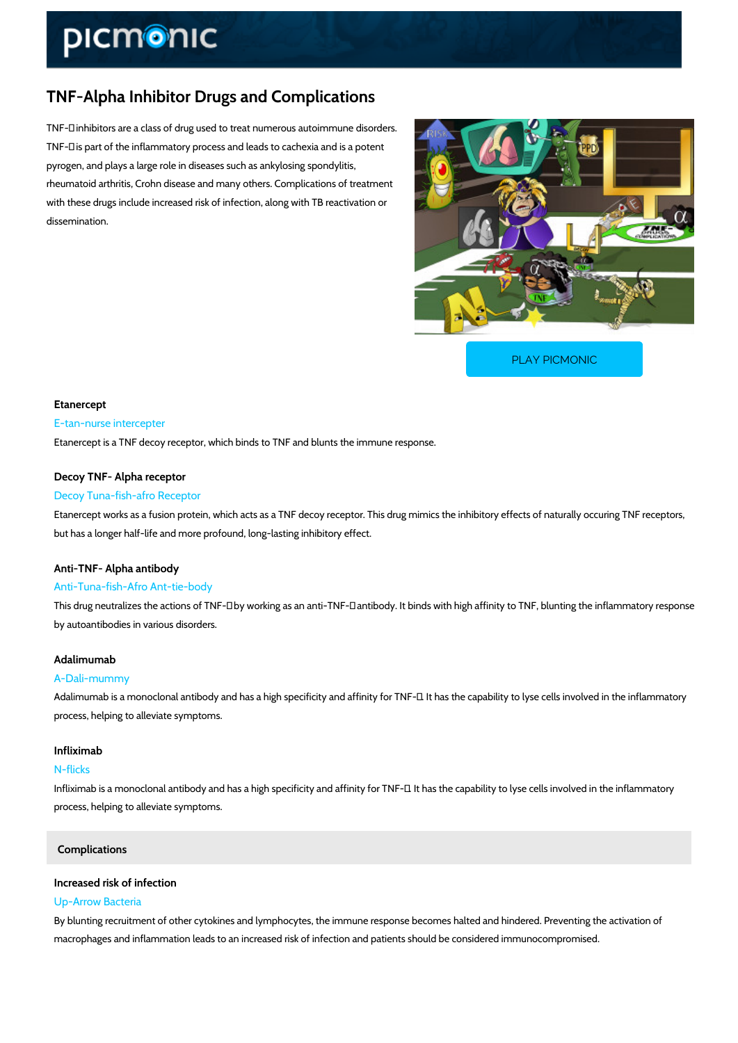# TNF-Alpha Inhibitor Drugs and Complications

TNF-± inhibitors are a class of drug used to treat numerous autoimmune disorders. TNF-± is part of the inflammatory process and leads to cachexia and is a potent pyrogen, and plays a large role in diseases such as ankylosing spondylitis, rheumatoid arthritis, Crohn disease and many others. Complications of treatment with these drugs include increased risk of infection, along with TB reactivation or dissemination.

[PLAY PICMONIC](https://www.picmonic.com/learn/tnf-alpha-inhibitor-drugs-and-complications_1337?utm_source=downloadable_content&utm_medium=distributedcontent&utm_campaign=pathways_pdf&utm_content=TNF-Alpha Inhibitor Drugs and Complications&utm_ad_group=leads&utm_market=all)

# Etanercept E-tan-nurse intercepter Etanercept is a TNF decoy receptor, which binds to TNF and blunts the immune response.

#### Decoy TNF- Alpha receptor

### Decoy Tuna-fish-afro Receptor

Etanercept works as a fusion protein, which acts as a TNF decoy receptor. This drug mimics t but has a longer half-life and more profound, long-lasting inhibitory effect.

### Anti-TNF- Alpha antibody

#### Anti-Tuna-fish-Afro Ant-tie-body

This drug neutralizes the actions of TNF- $\pm$  by working as an anti-TNF- $\pm$  antibody. It binds with by autoantibodies in various disorders.

# Adalimumab

#### A-Dali-mummy

Adalimumab is a monoclonal antibody and has a high specificity and affinity for TNF- $\pm$ . It has process, helping to alleviate symptoms.

#### Infliximab

#### N-flicks

Infliximab is a monoclonal antibody and has a high specificity and affinity for TNF- $\pm$ . It has the interlamental induction in the interlation in the interlation in the interlation in the interlation in the interlation i process, helping to alleviate symptoms.

# Complications

#### Increased risk of infection

### Up-Arrow Bacteria

By blunting recruitment of other cytokines and lymphocytes, the immune response becomes ha macrophages and inflammation leads to an increased risk of infection and patients should be